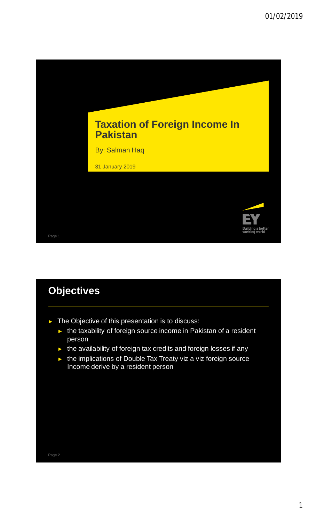

# Page 2 **Objectives** ► The Objective of this presentation is to discuss: ► the taxability of foreign source income in Pakistan of a resident person ► the availability of foreign tax credits and foreign losses if any ► the implications of Double Tax Treaty viz a viz foreign source Income derive by a resident person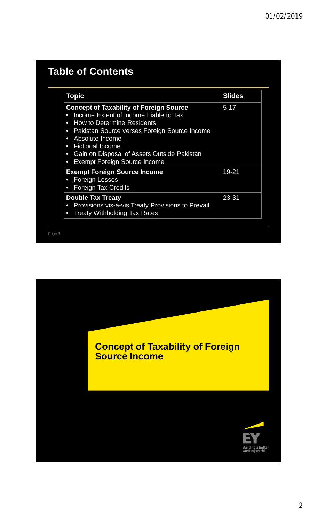#### **Table of Contents**

| <b>Topic</b>                                                                                                                                                                                                                                                                                                                                                                                                | <b>Slides</b> |
|-------------------------------------------------------------------------------------------------------------------------------------------------------------------------------------------------------------------------------------------------------------------------------------------------------------------------------------------------------------------------------------------------------------|---------------|
| <b>Concept of Taxability of Foreign Source</b><br>Income Extent of Income Liable to Tax<br>$\bullet$<br><b>How to Determine Residents</b><br>$\bullet$<br>Pakistan Source verses Foreign Source Income<br>$\bullet$<br>Absolute Income<br>$\bullet$<br><b>Fictional Income</b><br>$\bullet$<br>Gain on Disposal of Assets Outside Pakistan<br>$\bullet$<br><b>Exempt Foreign Source Income</b><br>$\bullet$ | $5 - 17$      |
| <b>Exempt Foreign Source Income</b><br><b>Foreign Losses</b><br>$\bullet$<br><b>Foreign Tax Credits</b><br>$\bullet$                                                                                                                                                                                                                                                                                        | 19-21         |
| <b>Double Tax Treaty</b><br>Provisions vis-a-vis Treaty Provisions to Prevail<br>$\bullet$<br><b>Treaty Withholding Tax Rates</b><br>$\bullet$                                                                                                                                                                                                                                                              | 23-31         |

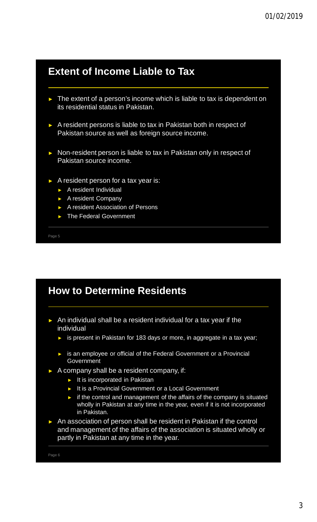#### **Extent of Income Liable to Tax**

- ► The extent of a person's income which is liable to tax is dependent on its residential status in Pakistan.
- ► A resident persons is liable to tax in Pakistan both in respect of Pakistan source as well as foreign source income.
- Non-resident person is liable to tax in Pakistan only in respect of Pakistan source income.
- ► A resident person for a tax year is:
	- ► A resident Individual
	- ► A resident Company
	- ► A resident Association of Persons
	- ► The Federal Government

Page 5



- ► A company shall be a resident company, if:
	- ► It is incorporated in Pakistan
	- ► It is a Provincial Government or a Local Government
	- ► if the control and management of the affairs of the company is situated wholly in Pakistan at any time in the year, even if it is not incorporated in Pakistan.
- ► An association of person shall be resident in Pakistan if the control and management of the affairs of the association is situated wholly or partly in Pakistan at any time in the year.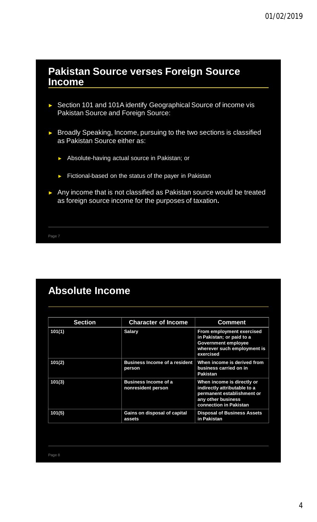#### **Pakistan Source verses Foreign Source Income**

- ► Section 101 and 101A identify Geographical Source of income vis Pakistan Source and Foreign Source:
- ► Broadly Speaking, Income, pursuing to the two sections is classified as Pakistan Source either as:
	- ► Absolute-having actual source in Pakistan; or
	- ► Fictional-based on the status of the payer in Pakistan
- ► Any income that is not classified as Pakistan source would be treated as foreign source income for the purposes of taxation**.**

Page 7

#### **Absolute Income**

| <b>Section</b> | <b>Character of Income</b>                        | <b>Comment</b>                                                                                                                           |
|----------------|---------------------------------------------------|------------------------------------------------------------------------------------------------------------------------------------------|
| 101(1)         | <b>Salary</b>                                     | From employment exercised<br>in Pakistan; or paid to a<br><b>Government employee</b><br>wherever such employment is<br>exercised         |
| 101(2)         | <b>Business Income of a resident</b><br>person    | When income is derived from<br>business carried on in<br><b>Pakistan</b>                                                                 |
| 101(3)         | <b>Business Income of a</b><br>nonresident person | When income is directly or<br>indirectly attributable to a<br>permanent establishment or<br>any other business<br>connection in Pakistan |
| 101(5)         | Gains on disposal of capital<br>assets            | <b>Disposal of Business Assets</b><br>in Pakistan                                                                                        |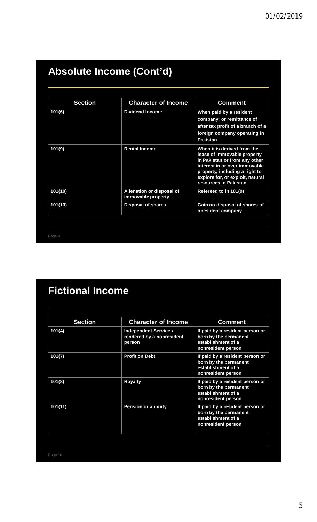## **Absolute Income (Cont'd)**

| <b>Section</b> | <b>Character of Income</b>                      | <b>Comment</b>                                                                                                                                                                                                               |
|----------------|-------------------------------------------------|------------------------------------------------------------------------------------------------------------------------------------------------------------------------------------------------------------------------------|
| 101(6)         | <b>Dividend Income</b>                          | When paid by a resident<br>company; or remittance of<br>after tax profit of a branch of a<br>foreign company operating in<br><b>Pakistan</b>                                                                                 |
| 101(9)         | <b>Rental Income</b>                            | When it is derived from the<br>lease of immovable property<br>in Pakistan or from any other<br>interest in or over immovable<br>property, including a right to<br>explore for, or exploit, natural<br>resources in Pakistan. |
| 101(10)        | Alienation or disposal of<br>immovable property | Refereed to in 101(9)                                                                                                                                                                                                        |
| 101(13)        | <b>Disposal of shares</b>                       | Gain on disposal of shares of<br>a resident company                                                                                                                                                                          |
|                |                                                 |                                                                                                                                                                                                                              |

Page 9

### **Fictional Income**

| <b>Section</b> | <b>Character of Income</b>                                         | <b>Comment</b>                                                                                       |
|----------------|--------------------------------------------------------------------|------------------------------------------------------------------------------------------------------|
| 101(4)         | <b>Independent Services</b><br>rendered by a nonresident<br>person | If paid by a resident person or<br>born by the permanent<br>establishment of a<br>nonresident person |
| 101(7)         | <b>Profit on Debt</b>                                              | If paid by a resident person or<br>born by the permanent<br>establishment of a<br>nonresident person |
| 101(8)         | <b>Royalty</b>                                                     | If paid by a resident person or<br>born by the permanent<br>establishment of a<br>nonresident person |
| 101(11)        | <b>Pension or annuity</b>                                          | If paid by a resident person or<br>born by the permanent<br>establishment of a<br>nonresident person |
|                |                                                                    |                                                                                                      |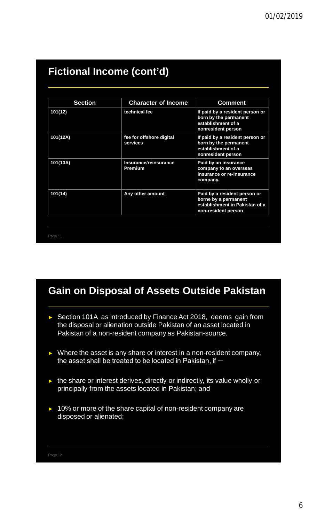| <b>Section</b> | <b>Character of Income</b>              | <b>Comment</b>                                                                                                |
|----------------|-----------------------------------------|---------------------------------------------------------------------------------------------------------------|
| 101(12)        | technical fee                           | If paid by a resident person or<br>born by the permanent<br>establishment of a<br>nonresident person          |
| 101(12A)       | fee for offshore digital<br>services    | If paid by a resident person or<br>born by the permanent<br>establishment of a<br>nonresident person          |
| 101(13A)       | Insurance/reinsurance<br><b>Premium</b> | Paid by an insurance<br>company to an overseas<br>insurance or re-insurance<br>company.                       |
| 101(14)        | Any other amount                        | Paid by a resident person or<br>borne by a permanent<br>establishment in Pakistan of a<br>non-resident person |

### **Fictional Income (cont'd)**

#### **Gain on Disposal of Assets Outside Pakistan**

- ► Section 101A as introduced by Finance Act 2018, deems gain from the disposal or alienation outside Pakistan of an asset located in Pakistan of a non-resident company as Pakistan-source.
- ► Where the asset is any share or interest in a non-resident company, the asset shall be treated to be located in Pakistan, if  $-$
- ► the share or interest derives, directly or indirectly, its value wholly or principally from the assets located in Pakistan; and
- ► 10% or more of the share capital of non-resident company are disposed or alienated;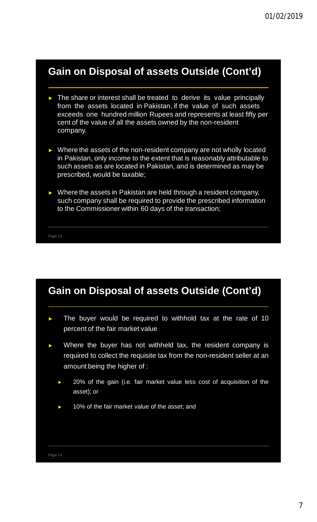#### **Gain on Disposal of assets Outside (Cont'd)**

- ► The share or interest shall be treated to derive its value principally from the assets located in Pakistan, if the value of such assets exceeds one hundred million Rupees and represents at least fifty per cent of the value of all the assets owned by the non-resident company.
- ► Where the assets of the non-resident company are not wholly located in Pakistan, only income to the extent that is reasonably attributable to such assets as are located in Pakistan, and is determined as may be prescribed, would be taxable;
- ► Where the assets in Pakistan are held through a resident company, such company shall be required to provide the prescribed information to the Commissioner within 60 days of the transaction;

Page 13

### **Gain on Disposal of assets Outside (Cont'd)**

- ► The buyer would be required to withhold tax at the rate of 10 percent of the fair market value
- ► Where the buyer has not withheld tax, the resident company is required to collect the requisite tax from the non-resident seller at an amount being the higher of :
	- 20% of the gain (i.e. fair market value less cost of acquisition of the asset); or
	- 10% of the fair market value of the asset; and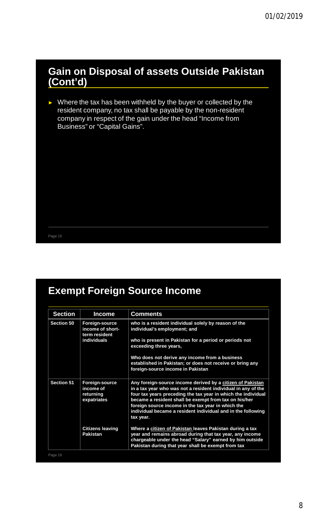#### **Gain on Disposal of assets Outside Pakistan (Cont'd)**

► Where the tax has been withheld by the buyer or collected by the resident company, no tax shall be payable by the non-resident company in respect of the gain under the head "Income from Business" or "Capital Gains".

Page 15

### **Exempt Foreign Source Income**

| <b>Section 50</b>              | Foreign-source<br>income of short-<br>term resident<br><b>individuals</b> | who is a resident individual solely by reason of the<br>individual's employment; and<br>who is present in Pakistan for a period or periods not<br>exceeding three years,<br>Who does not derive any income from a business<br>established in Pakistan; or does not receive or bring any                                                                                                  |
|--------------------------------|---------------------------------------------------------------------------|------------------------------------------------------------------------------------------------------------------------------------------------------------------------------------------------------------------------------------------------------------------------------------------------------------------------------------------------------------------------------------------|
|                                |                                                                           |                                                                                                                                                                                                                                                                                                                                                                                          |
|                                |                                                                           |                                                                                                                                                                                                                                                                                                                                                                                          |
|                                |                                                                           | foreign-source income in Pakistan                                                                                                                                                                                                                                                                                                                                                        |
| <b>Section 51</b><br>returning | Foreign-source<br>income of<br>expatriates                                | Any foreign-source income derived by a citizen of Pakistan<br>in a tax year who was not a resident individual in any of the<br>four tax years preceding the tax year in which the individual<br>became a resident shall be exempt from tax on his/her<br>foreign source income in the tax year in which the<br>individual became a resident individual and in the following<br>tax year. |
| Pakistan                       | <b>Citizens leaving</b>                                                   | Where a citizen of Pakistan leaves Pakistan during a tax<br>year and remains abroad during that tax year, any income<br>chargeable under the head "Salary" earned by him outside<br>Pakistan during that year shall be exempt from tax                                                                                                                                                   |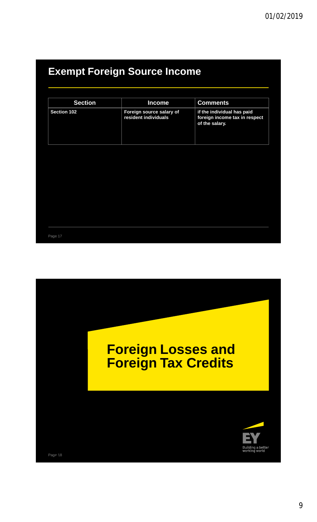### **Exempt Foreign Source Income**

| <b>Section</b>     | <b>Income</b>                                    | <b>Comments</b>                                                               |
|--------------------|--------------------------------------------------|-------------------------------------------------------------------------------|
| <b>Section 102</b> | Foreign source salary of<br>resident individuals | if the individual has paid<br>foreign income tax in respect<br>of the salary. |
|                    |                                                  |                                                                               |
|                    |                                                  |                                                                               |
|                    |                                                  |                                                                               |
|                    |                                                  |                                                                               |
|                    |                                                  |                                                                               |
| Page 17            |                                                  |                                                                               |

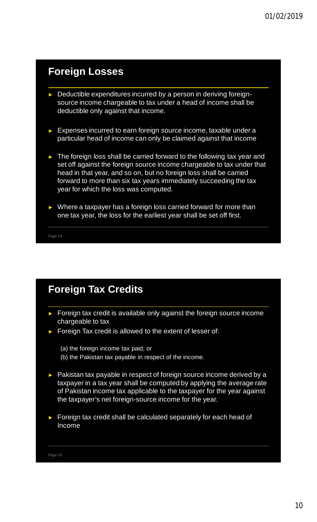#### **Foreign Losses**

- ► Deductible expenditures incurred by a person in deriving foreignsource income chargeable to tax under a head of income shall be deductible only against that income.
- ► Expenses incurred to earn foreign source income, taxable under a particular head of income can only be claimed against that income
- ► The foreign loss shall be carried forward to the following tax year and set off against the foreign source income chargeable to tax under that head in that year, and so on, but no foreign loss shall be carried forward to more than six tax years immediately succeeding the tax year for which the loss was computed.
- ► Where a taxpayer has a foreign loss carried forward for more than one tax year, the loss for the earliest year shall be set off first.

Page 19

#### **Foreign Tax Credits**

- ► Foreign tax credit is available only against the foreign source income chargeable to tax
- ► Foreign Tax credit is allowed to the extent of lesser of:
	- (a) the foreign income tax paid; or
	- (b) the Pakistan tax payable in respect of the income.
- ► Pakistan tax payable in respect of foreign source income derived by a taxpayer in a tax year shall be computed by applying the average rate of Pakistan income tax applicable to the taxpayer for the year against the taxpayer's net foreign-source income for the year.
- Foreign tax credit shall be calculated separately for each head of Income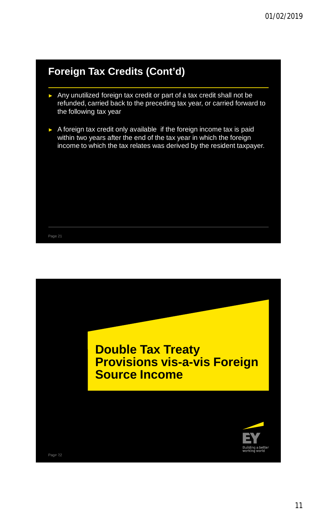### **Foreign Tax Credits (Cont'd)**

- ► Any unutilized foreign tax credit or part of a tax credit shall not be refunded, carried back to the preceding tax year, or carried forward to the following tax year
- ► A foreign tax credit only available if the foreign income tax is paid within two years after the end of the tax year in which the foreign income to which the tax relates was derived by the resident taxpayer.

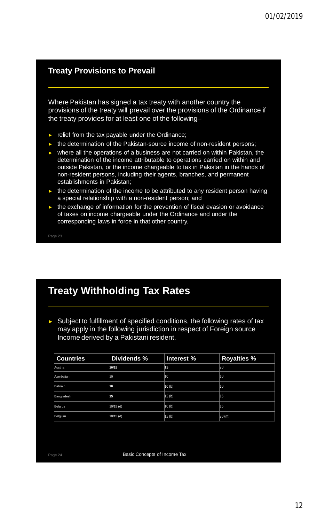#### **Treaty Provisions to Prevail**

Where Pakistan has signed a tax treaty with another country the provisions of the treaty will prevail over the provisions of the Ordinance if the treaty provides for at least one of the following–

- ► relief from the tax payable under the Ordinance;
- ► the determination of the Pakistan-source income of non-resident persons;
- ► where all the operations of a business are not carried on within Pakistan, the determination of the income attributable to operations carried on within and outside Pakistan, or the income chargeable to tax in Pakistan in the hands of non-resident persons, including their agents, branches, and permanent establishments in Pakistan;
- the determination of the income to be attributed to any resident person having a special relationship with a non-resident person; and
- $\blacktriangleright$  the exchange of information for the prevention of fiscal evasion or avoidance of taxes on income chargeable under the Ordinance and under the corresponding laws in force in that other country.

Page 23

#### **Treaty Withholding Tax Rates**

► Subject to fulfillment of specified conditions, the following rates of tax may apply in the following jurisdiction in respect of Foreign source Income derived by a Pakistani resident.

| <b>Countries</b> | Dividends % | Interest % | <b>Royalties %</b> |
|------------------|-------------|------------|--------------------|
| Austria          | 10/15       | 15         | 20                 |
| Azerbaijan       | 10          | 10         | 10                 |
| Bahrain          | 10          | 10 (b)     | 10                 |
| Bangladesh       | 15          | 15(b)      | 15                 |
| Belarus          | 10/15 (d)   | 10 (b)     | 15                 |
| Belgium          | 10/15 (d)   | 15(b)      | 20 (m)             |

Page 24 **Basic Concepts of Income Tax**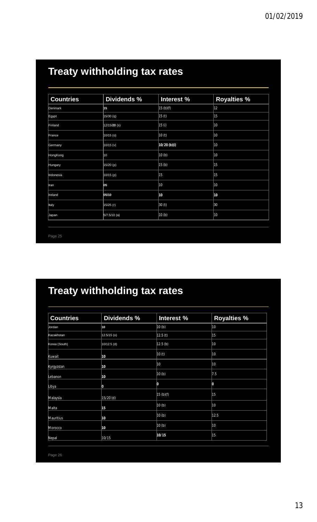| <b>Countries</b> | Dividends %  | Interest %        | <b>Royalties %</b> |
|------------------|--------------|-------------------|--------------------|
| Denmark          | 15           | 15 (b)(f)         | 12                 |
| Egypt            | 15/30 (q)    | 15 <sub>(t)</sub> | 15                 |
| Finland          | 12/15/20 (s) | 15(i)             | 10                 |
| France           | 10/15 (o)    | 10 <sub>(t)</sub> | 10                 |
| Germany          | 10/15 (v)    | 10/20 (b)(i)      | 10                 |
| HongKong         | 10           | 10 <sub>(b)</sub> | 10                 |
| Hungary          | 15/20 (p)    | 15 <sub>(b)</sub> | 15                 |
| Indonesia        | 10/15 (p)    | 15                | 15                 |
| Iran             | 05           | 10                | 10                 |
| Ireland          | 05/10        | 10                | 10                 |
| Italy            | 15/25 (r)    | 30 (t)            | 30                 |
| Japan            | 5/7.5/10 (a) | 10 <sub>(b)</sub> | 10                 |

Page 25

### **Treaty withholding tax rates**

| <b>Countries</b> | Dividends % | Interest %          | <b>Royalties %</b> |
|------------------|-------------|---------------------|--------------------|
| Jordan           | 10          | 10 (b)              | 10                 |
| Kazakhstan       | 12.5/15 (o) | 12.5(t)             | 15                 |
| Korea (South)    | 10/12.5 (d) | 12.5 <sub>(b)</sub> | 10                 |
| Kuwait           | 10          | 10(t)               | 10                 |
| Kyrgyzstan       | 10          | 10                  | 10                 |
| Lebanon          | 10          | 10 <sub>(b)</sub>   | 7.5                |
| Libya            | 0           | 0                   | 0                  |
| Malaysia         | 15/20 (d)   | 15(b)(f)            | 15                 |
| Malta            | 15          | 10 <sub>(b)</sub>   | 10                 |
| Mauritius        | 10          | 10 <sub>(b)</sub>   | 12.5               |
| Morocco          | 10          | 10 <sub>(b)</sub>   | 10                 |
| Nepal            | 10/15       | 10/15               | 15                 |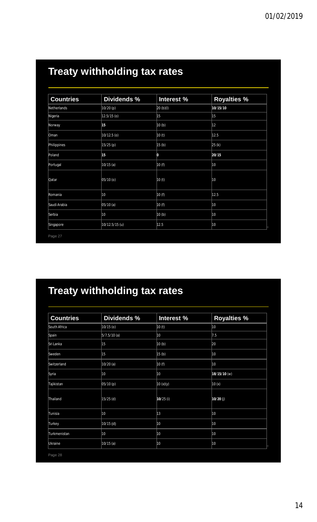| Dividends %              | Interest %        |                    |
|--------------------------|-------------------|--------------------|
|                          |                   | <b>Royalties %</b> |
| 10/20 (p)                | 20 (b)(l)         | 10/15/10           |
| $12.\overline{5/15}$ (o) | 15                | 15                 |
| 15                       | 10 (b)            | $ 12\rangle$       |
| 10/12.5(0)               | 10 (t)            | 12.5               |
| 15/25(p)                 | 15 <sub>(b)</sub> | 25(k)              |
| 15                       | O                 | 20/15              |
| $10/15$ (a)              | 10 (f)            | 10                 |
| 05/10 (o)                | 10 (t)            | 10                 |
| 10                       | 10 (f)            | 12.5               |
| 05/10(a)                 | 10 (f)            | 10                 |
| 10                       | 10 <sub>(b)</sub> | 10                 |
| 10/12.5/15 (u)           | 12.5              | 10                 |
|                          |                   |                    |

### **Treaty withholding tax rates**

| <b>Countries</b> | Dividends %     | Interest %        | <b>Royalties %</b> |
|------------------|-----------------|-------------------|--------------------|
| South Africa     | 10/15 (o)       | 10 <sub>(t)</sub> | 10                 |
| Spain            | $5/7.5/10$ (a)  | 10                | 7.5                |
| Sri Lanka        | 15              | 10 <sub>(b)</sub> | 20                 |
| Sweden           | 15              | 15 <sub>(b)</sub> | 10                 |
| Switzerland      | $10/20$ (a)     | 10(f)             | 10                 |
| Syria            | 10              | 10                | 18/15/10 (w)       |
| Tajikistan       | 05/10 (p)       | 10(x)(y)          | $\vert$ 10 (x)     |
| Thailand         | $15/25$ (d)     | $10/25$ (i)       | $10/20$ (j)        |
| Tunisia          | 10              | 13                | 10                 |
| Turkey           | $10/15$ (d)     | 10                | 10                 |
| Turkmenistan     | 10 <sub>0</sub> | 10                | 10                 |
| Ukraine          | $10/15$ (a)     | 10                | 10                 |
| Page 28          |                 |                   |                    |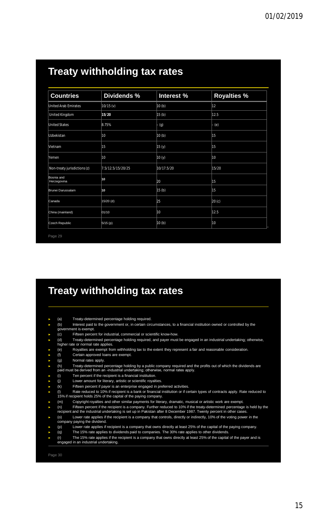| <b>Countries</b>             | Dividends %       | Interest %        | <b>Royalties %</b> |
|------------------------------|-------------------|-------------------|--------------------|
| United Arab Emirates         | $10/15$ (v)       | 10(b)             | 12                 |
| United Kingdom               | 15/20             | 15 <sub>(b)</sub> | 12.5               |
| <b>United States</b>         | 8.75%             | (g)               | - (e)              |
| Uzbekistan                   | 10                | 10(b)             | 15                 |
| Vietnam                      | 15                | 15 (y)            | 15                 |
| Yemen                        | 10                | 10(y)             | 10                 |
| Non-treaty jurisdictions (z) | 7.5/12.5/15/20/25 | 10/17.5/20        | 15/20              |
| Bosnia and<br>Herzegovina    | 10                | 20                | 15                 |
| Brunei Darussalam            | 10                | 15 (b)            | 15                 |
| Canada                       | 15/20 (d)         | 25                | 20 (c)             |
| China (mainland)             | 01/10             | 10                | 12.5               |
| Czech Republic               | 5/15(p)           | 10(b)             | 10                 |

#### **Treaty withholding tax rates**

- (a) Treaty-determined percentage holding required.
- ► (b) Interest paid to the government or, in certain circumstances, to a financial institution owned or controlled by the government is exempt.
- ► (c) Fifteen percent for industrial, commercial or scientific know-how.
- ► (d) Treaty-determined percentage holding required, and payer must be engaged in an industrial undertaking; otherwise, higher rate or normal rate applies.
- (e) Royalties are exempt from withholding tax to the extent they represent a fair and reasonable consideration.
- ► (f) Certain approved loans are exempt.
- 
- ► (g) Normal rates apply. ► (h) Treaty-determined percentage holding by a public company required and the profits out of which the dividends are paid must be derived from an -industrial undertaking; otherwise, normal rates apply.
- (i) Ten percent if the recipient is a financial institution.
- 
- (j) Lower amount for literary, artistic or scientific royalties.<br>(k) Fifteen percent if payer is an enterprise engaged in pre Fifteen percent if payer is an enterprise engaged in preferred activities.
- ► (l) Rate reduced to 10% if recipient is a bank or financial institution or if certain types of contracts apply. Rate reduced to (I) Rate reduced to 10% if recipient is a bank or financial in 15% if recipient holds 25% of the capital of the paying company.
- (m) Copyright royalties and other similar payments for literary, dramatic, musical or artistic work are exempt.
- 
- ► (n) Fifteen percent if the recipient is a company. Further reduced to 10% if the treaty-determined percentage is held by the recipient and the industrial undertaking is set up in Pakistan after 8 December 1987. Twenty percent in other cases.
- ► (o) Lower rate applies if the recipient is a company that controls, directly or indirectly, 10% of the voting power in the company paying the dividend.
- ► (p) Lower rate applies if recipient is a company that owns directly at least 25% of the capital of the paying company.
- (q) The 15% rate applies to dividends paid to companies. The 30% rate applies to other dividends.
- ► (r) The 15% rate applies if the recipient is a company that owns directly at least 25% of the capital of the payer and is engaged in an industrial undertaking.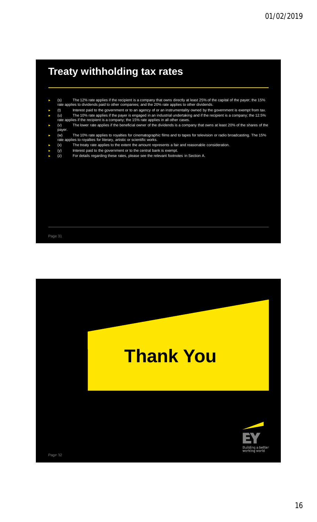Page 31 ► (s) The 12% rate applies if the recipient is a company that owns directly at least 25% of the capital of the payer; the 15% rate applies to dividends paid to other companies; and the 20% rate applies to other dividends. ► (t) Interest paid to the government or to an agency of or an instrumentality owned by the government is exempt from tax. ► (u) The 10% rate applies if the payer is engaged in an industrial undertaking and if the recipient is a company; the 12.5% rate applies if the recipient is a company; the 15% rate applies in all other cases. ► (v) The lower rate applies if the beneficial owner of the dividends is a company that owns at least 20% of the shares of the payer. ► (w) The 10% rate applies to royalties for cinematographic films and to tapes for television or radio broadcasting. The 15% rate applies to royalties for literary, artistic or scientific works. ► (x) The treaty rate applies to the extent the amount represents a fair and reasonable consideration.<br>
↓ (y) Interest paid to the government or to the central bank is exempt.<br>
↓ (z) For details regarding these rates, ple ► (y) Interest paid to the government or to the central bank is exempt. ► (z) For details regarding these rates, please see the relevant footnotes in Section A.